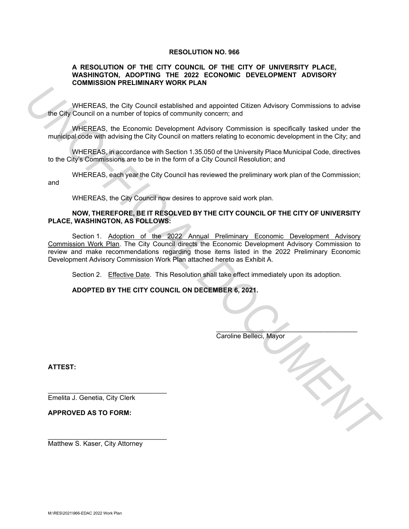### **RESOLUTION NO. 966**

### **A RESOLUTION OF THE CITY COUNCIL OF THE CITY OF UNIVERSITY PLACE, WASHINGTON, ADOPTING THE 2022 ECONOMIC DEVELOPMENT ADVISORY COMMISSION PRELIMINARY WORK PLAN**

WHEREAS, the City Council established and appointed Citizen Advisory Commissions to advise the City Council on a number of topics of community concern; and

WHEREAS, the Economic Development Advisory Commission is specifically tasked under the municipal code with advising the City Council on matters relating to economic development in the City; and

WHEREAS, in accordance with Section 1.35.050 of the University Place Municipal Code, directives to the City's Commissions are to be in the form of a City Council Resolution; and

WHEREAS, each year the City Council has reviewed the preliminary work plan of the Commission; and

WHEREAS, the City Council now desires to approve said work plan.

## **NOW, THEREFORE, BE IT RESOLVED BY THE CITY COUNCIL OF THE CITY OF UNIVERSITY PLACE, WASHINGTON, AS FOLLOWS:**

Section 1. Adoption of the 2022 Annual Preliminary Economic Development Advisory Commission Work Plan. The City Council directs the Economic Development Advisory Commission to review and make recommendations regarding those items listed in the 2022 Preliminary Economic Development Advisory Commission Work Plan attached hereto as Exhibit A. **UNIFICIALS, the City Council established and appointed Citizen Advisory Commissions to advise<br>the City Council on a muntler of tupics of community concern; and<br>municipal conference Developmental Advisory Commission is sep** 

Section 2. Effective Date. This Resolution shall take effect immediately upon its adoption.

 $\overline{\phantom{a}}$ 

**ADOPTED BY THE CITY COUNCIL ON DECEMBER 6, 2021.** 

Caroline Belleci, Mayor

**ATTEST:**

j

Emelita J. Genetia, City Clerk

\_\_\_\_\_\_\_\_\_\_\_\_\_\_\_\_\_\_\_\_\_\_\_\_\_\_\_\_\_\_\_\_

\_\_\_\_\_\_\_\_\_\_\_\_\_\_\_\_\_\_\_\_\_\_\_\_\_\_\_\_\_\_\_\_

**APPROVED AS TO FORM:**

Matthew S. Kaser, City Attorney